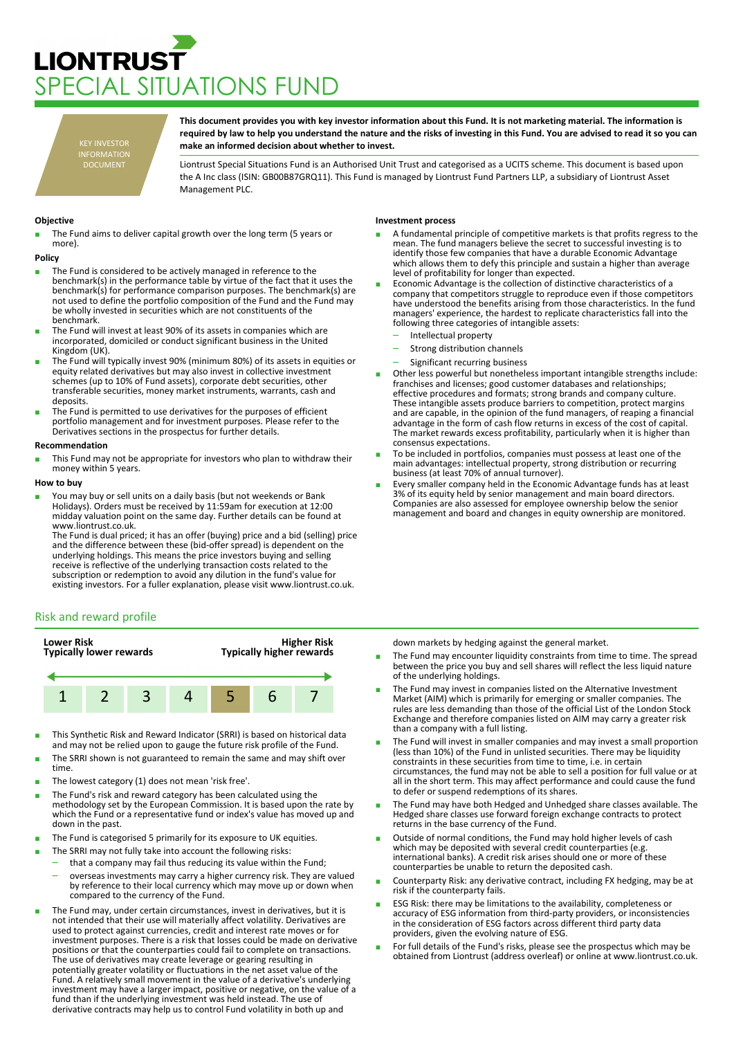# **LIONTRUST** PECIAL SITUATIONS FUND

KEY INVESTOR INFORMATION DOCUMENT

**This document provides you with key investor information about this Fund. It is not marketing material. The information is required by law to help you understand the nature and the risks of investing in this Fund. You are advised to read it so you can make an informed decision about whether to invest.**

Liontrust Special Situations Fund is an Authorised Unit Trust and categorised as a UCITS scheme. This document is based upon the A Inc class (ISIN: GB00B87GRQ11). This Fund is managed by Liontrust Fund Partners LLP, a subsidiary of Liontrust Asset Management PLC.

## **Objective**

The Fund aims to deliver capital growth over the long term (5 years or more).

#### **Policy**

- The Fund is considered to be actively managed in reference to the benchmark(s) in the performance table by virtue of the fact that it uses the benchmark(s) for performance comparison purposes. The benchmark(s) are not used to define the portfolio composition of the Fund and the Fund may be wholly invested in securities which are not constituents of the benchmark.
- The Fund will invest at least 90% of its assets in companies which are incorporated, domiciled or conduct significant business in the United Kingdom (UK).
- The Fund will typically invest 90% (minimum 80%) of its assets in equities or equity related derivatives but may also invest in collective investment schemes (up to 10% of Fund assets), corporate debt securities, other transferable securities, money market instruments, warrants, cash and deposits.
- The Fund is permitted to use derivatives for the purposes of efficient portfolio management and for investment purposes. Please refer to the Derivatives sections in the prospectus for further details.

#### **Recommendation**

This Fund may not be appropriate for investors who plan to withdraw their money within 5 years.

#### **How to buy**

You may buy or sell units on a daily basis (but not weekends or Bank Holidays). Orders must be received by 11:59am for execution at 12:00 midday valuation point on the same day. Further details can be found at www.liontrust.co.uk.

The Fund is dual priced; it has an offer (buying) price and a bid (selling) price and the difference between these (bid-offer spread) is dependent on the underlying holdings. This means the price investors buying and selling receive is reflective of the underlying transaction costs related to the subscription or redemption to avoid any dilution in the fund's value for existing investors. For a fuller explanation, please visit www.liontrust.co.uk.

## Risk and reward profile



- This Synthetic Risk and Reward Indicator (SRRI) is based on historical data and may not be relied upon to gauge the future risk profile of the Fund.
- The SRRI shown is not guaranteed to remain the same and may shift over time.
- The lowest category (1) does not mean 'risk free'.
- The Fund's risk and reward category has been calculated using the methodology set by the European Commission. It is based upon the rate by which the Fund or a representative fund or index's value has moved up and down in the past.
- The Fund is categorised 5 primarily for its exposure to UK equities.
- The SRRI may not fully take into account the following risks:
	- that a company may fail thus reducing its value within the Fund; – overseas investments may carry a higher currency risk. They are valued
	- by reference to their local currency which may move up or down when compared to the currency of the Fund.
- The Fund may, under certain circumstances, invest in derivatives, but it is not intended that their use will materially affect volatility. Derivatives are used to protect against currencies, credit and interest rate moves or for investment purposes. There is a risk that losses could be made on derivative positions or that the counterparties could fail to complete on transactions. The use of derivatives may create leverage or gearing resulting in potentially greater volatility or fluctuations in the net asset value of the Fund. A relatively small movement in the value of a derivative's underlying investment may have a larger impact, positive or negative, on the value of a fund than if the underlying investment was held instead. The use of derivative contracts may help us to control Fund volatility in both up and

## **Investment process**

- A fundamental principle of competitive markets is that profits regress to the mean. The fund managers believe the secret to successful investing is to identify those few companies that have a durable Economic Advantage which allows them to defy this principle and sustain a higher than average level of profitability for longer than expected.
- Economic Advantage is the collection of distinctive characteristics of a company that competitors struggle to reproduce even if those competitors have understood the benefits arising from those characteristics. In the fund managers' experience, the hardest to replicate characteristics fall into the following three categories of intangible assets:
	- Intellectual property
	- Strong distribution channels
	- Significant recurring business
- Other less powerful but nonetheless important intangible strengths include: franchises and licenses; good customer databases and relationships; effective procedures and formats; strong brands and company culture. These intangible assets produce barriers to competition, protect margins and are capable, in the opinion of the fund managers, of reaping a financial advantage in the form of cash flow returns in excess of the cost of capital. The market rewards excess profitability, particularly when it is higher than consensus expectations.
- To be included in portfolios, companies must possess at least one of the main advantages: intellectual property, strong distribution or recurring business (at least 70% of annual turnover).
- Every smaller company held in the Economic Advantage funds has at least 3% of its equity held by senior management and main board directors. Companies are also assessed for employee ownership below the senior management and board and changes in equity ownership are monitored.

down markets by hedging against the general market.

- The Fund may encounter liquidity constraints from time to time. The spread between the price you buy and sell shares will reflect the less liquid nature of the underlying holdings.
- The Fund may invest in companies listed on the Alternative Investment Market (AIM) which is primarily for emerging or smaller companies. The rules are less demanding than those of the official List of the London Stock Exchange and therefore companies listed on AIM may carry a greater risk than a company with a full listing.
- The Fund will invest in smaller companies and may invest a small proportion (less than 10%) of the Fund in unlisted securities. There may be liquidity constraints in these securities from time to time, i.e. in certain circumstances, the fund may not be able to sell a position for full value or at all in the short term. This may affect performance and could cause the fund to defer or suspend redemptions of its shares.
- The Fund may have both Hedged and Unhedged share classes available. The Hedged share classes use forward foreign exchange contracts to protect returns in the base currency of the Fund.
- Outside of normal conditions, the Fund may hold higher levels of cash which may be deposited with several credit counterparties (e.g. international banks). A credit risk arises should one or more of these counterparties be unable to return the deposited cash.
- Counterparty Risk: any derivative contract, including FX hedging, may be at risk if the counterparty fails.
- ESG Risk: there may be limitations to the availability, completeness or accuracy of ESG information from third-party providers, or inconsistencies in the consideration of ESG factors across different third party data providers, given the evolving nature of ESG.
- For full details of the Fund's risks, please see the prospectus which may be obtained from Liontrust (address overleaf) or online at www.liontrust.co.uk.